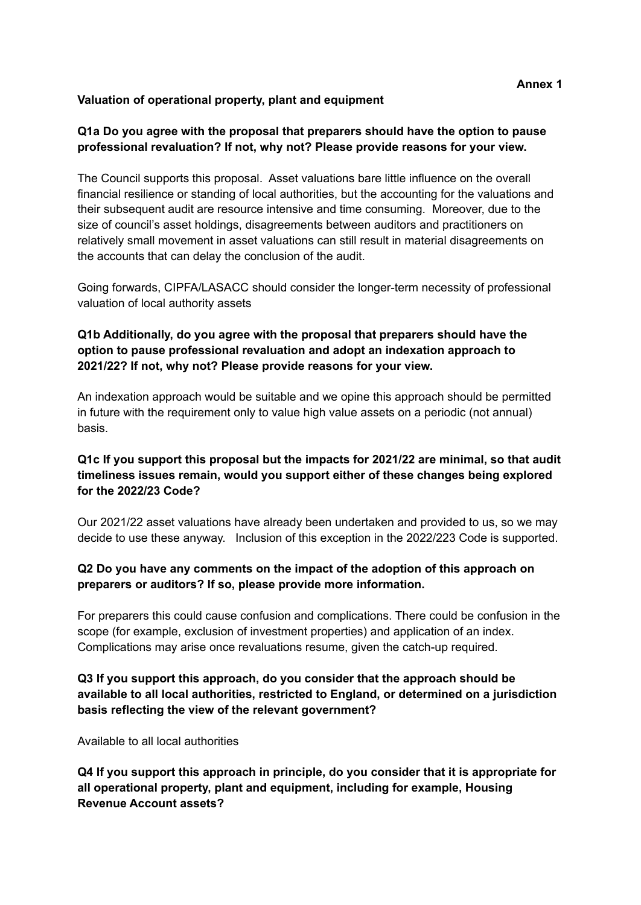### **Valuation of operational property, plant and equipment**

## **Q1a Do you agree with the proposal that preparers should have the option to pause professional revaluation? If not, why not? Please provide reasons for your view.**

The Council supports this proposal. Asset valuations bare little influence on the overall financial resilience or standing of local authorities, but the accounting for the valuations and their subsequent audit are resource intensive and time consuming. Moreover, due to the size of council's asset holdings, disagreements between auditors and practitioners on relatively small movement in asset valuations can still result in material disagreements on the accounts that can delay the conclusion of the audit.

Going forwards, CIPFA/LASACC should consider the longer-term necessity of professional valuation of local authority assets

## **Q1b Additionally, do you agree with the proposal that preparers should have the option to pause professional revaluation and adopt an indexation approach to 2021/22? If not, why not? Please provide reasons for your view.**

An indexation approach would be suitable and we opine this approach should be permitted in future with the requirement only to value high value assets on a periodic (not annual) basis.

## **Q1c If you support this proposal but the impacts for 2021/22 are minimal, so that audit timeliness issues remain, would you support either of these changes being explored for the 2022/23 Code?**

Our 2021/22 asset valuations have already been undertaken and provided to us, so we may decide to use these anyway. Inclusion of this exception in the 2022/223 Code is supported.

# **Q2 Do you have any comments on the impact of the adoption of this approach on preparers or auditors? If so, please provide more information.**

For preparers this could cause confusion and complications. There could be confusion in the scope (for example, exclusion of investment properties) and application of an index. Complications may arise once revaluations resume, given the catch-up required.

## **Q3 If you support this approach, do you consider that the approach should be available to all local authorities, restricted to England, or determined on a jurisdiction basis reflecting the view of the relevant government?**

Available to all local authorities

**Q4 If you support this approach in principle, do you consider that it is appropriate for all operational property, plant and equipment, including for example, Housing Revenue Account assets?**